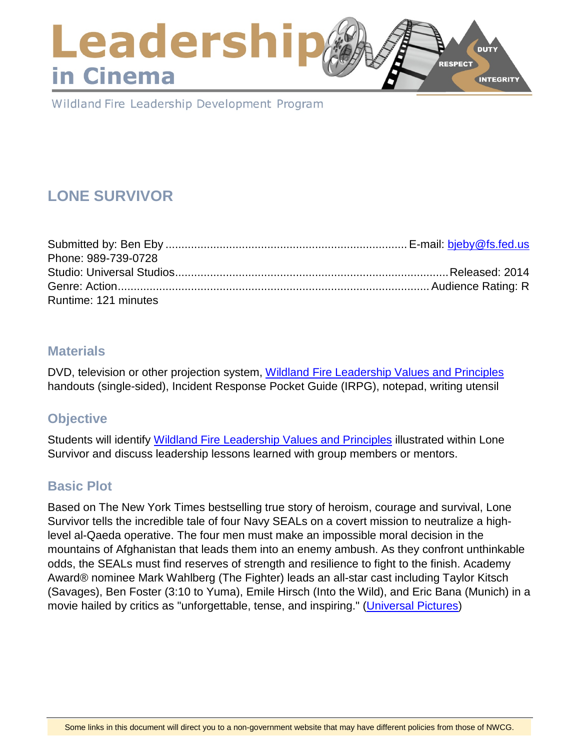# Leadershi **DUTY RESPECT** in Cinema **INTEGRITY**

Wildland Fire Leadership Development Program

# **LONE SURVIVOR**

| Phone: 989-739-0728  |  |
|----------------------|--|
|                      |  |
|                      |  |
| Runtime: 121 minutes |  |

## **Materials**

DVD, television or other projection system, [Wildland Fire Leadership Values and Principles](https://www.fireleadership.gov/) handouts (single-sided), Incident Response Pocket Guide (IRPG), notepad, writing utensil

# **Objective**

Students will identify [Wildland Fire Leadership Values and Principles](https://www.fireleadership.gov/) illustrated within Lone Survivor and discuss leadership lessons learned with group members or mentors.

# **Basic Plot**

Based on The New York Times bestselling true story of heroism, courage and survival, Lone Survivor tells the incredible tale of four Navy SEALs on a covert mission to neutralize a highlevel al-Qaeda operative. The four men must make an impossible moral decision in the mountains of Afghanistan that leads them into an enemy ambush. As they confront unthinkable odds, the SEALs must find reserves of strength and resilience to fight to the finish. Academy Award® nominee Mark Wahlberg (The Fighter) leads an all-star cast including Taylor Kitsch (Savages), Ben Foster (3:10 to Yuma), Emile Hirsch (Into the Wild), and Eric Bana (Munich) in a movie hailed by critics as "unforgettable, tense, and inspiring." [\(Universal Pictures\)](https://www.uphe.com/movies/lone-survivor)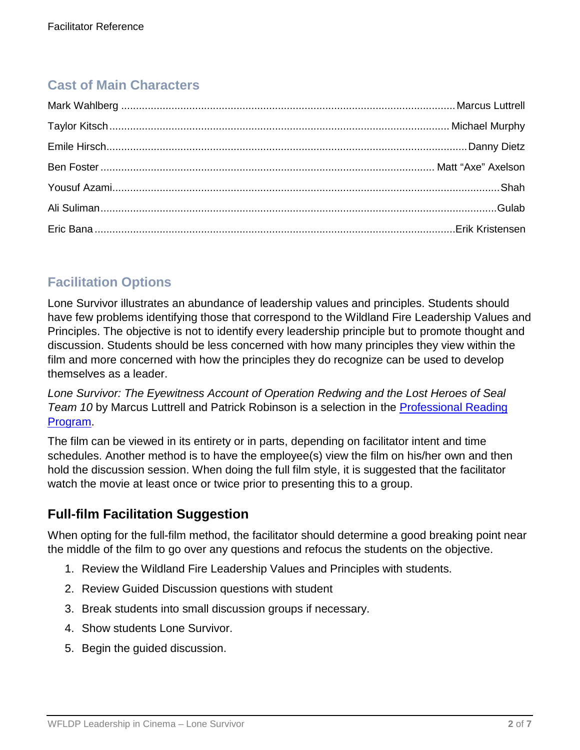# **Cast of Main Characters**

# **Facilitation Options**

Lone Survivor illustrates an abundance of leadership values and principles. Students should have few problems identifying those that correspond to the Wildland Fire Leadership Values and Principles. The objective is not to identify every leadership principle but to promote thought and discussion. Students should be less concerned with how many principles they view within the film and more concerned with how the principles they do recognize can be used to develop themselves as a leader.

*Lone Survivor: The Eyewitness Account of Operation Redwing and the Lost Heroes of Seal Team 10* by Marcus Luttrell and Patrick Robinson is a selection in the [Professional Reading](https://www.fireleadership.gov/)  [Program.](https://www.fireleadership.gov/)

The film can be viewed in its entirety or in parts, depending on facilitator intent and time schedules. Another method is to have the employee(s) view the film on his/her own and then hold the discussion session. When doing the full film style, it is suggested that the facilitator watch the movie at least once or twice prior to presenting this to a group.

# **Full-film Facilitation Suggestion**

When opting for the full-film method, the facilitator should determine a good breaking point near the middle of the film to go over any questions and refocus the students on the objective.

- 1. Review the Wildland Fire Leadership Values and Principles with students.
- 2. Review Guided Discussion questions with student
- 3. Break students into small discussion groups if necessary.
- 4. Show students Lone Survivor.
- 5. Begin the guided discussion.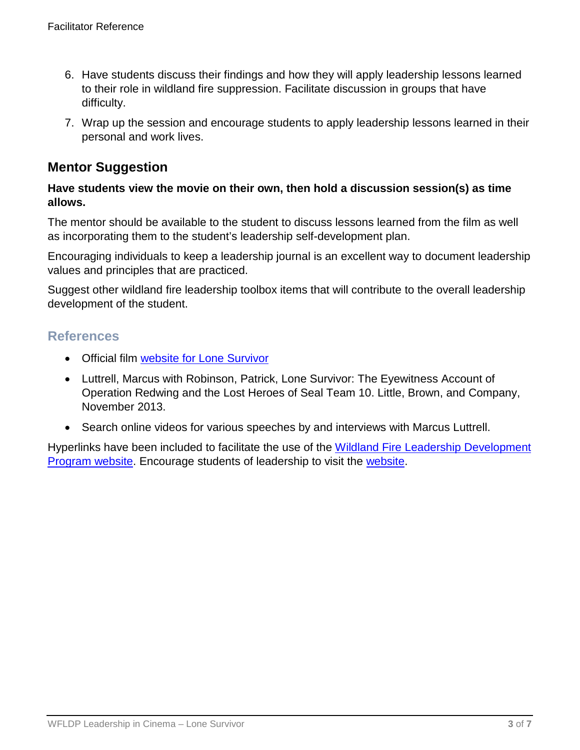- 6. Have students discuss their findings and how they will apply leadership lessons learned to their role in wildland fire suppression. Facilitate discussion in groups that have difficulty.
- 7. Wrap up the session and encourage students to apply leadership lessons learned in their personal and work lives.

# **Mentor Suggestion**

### **Have students view the movie on their own, then hold a discussion session(s) as time allows.**

The mentor should be available to the student to discuss lessons learned from the film as well as incorporating them to the student's leadership self-development plan.

Encouraging individuals to keep a leadership journal is an excellent way to document leadership values and principles that are practiced.

Suggest other wildland fire leadership toolbox items that will contribute to the overall leadership development of the student.

## **References**

- Official film [website for Lone Survivor](https://www.uphe.com/movies/lone-survivor)
- Luttrell, Marcus with Robinson, Patrick, Lone Survivor: The Eyewitness Account of Operation Redwing and the Lost Heroes of Seal Team 10. Little, Brown, and Company, November 2013.
- Search online videos for various speeches by and interviews with Marcus Luttrell.

Hyperlinks have been included to facilitate the use of the [Wildland Fire Leadership Development](https://www.fireleadership.gov/)  [Program website.](https://www.fireleadership.gov/) Encourage students of leadership to visit the [website.](https://www.fireleadership.gov/)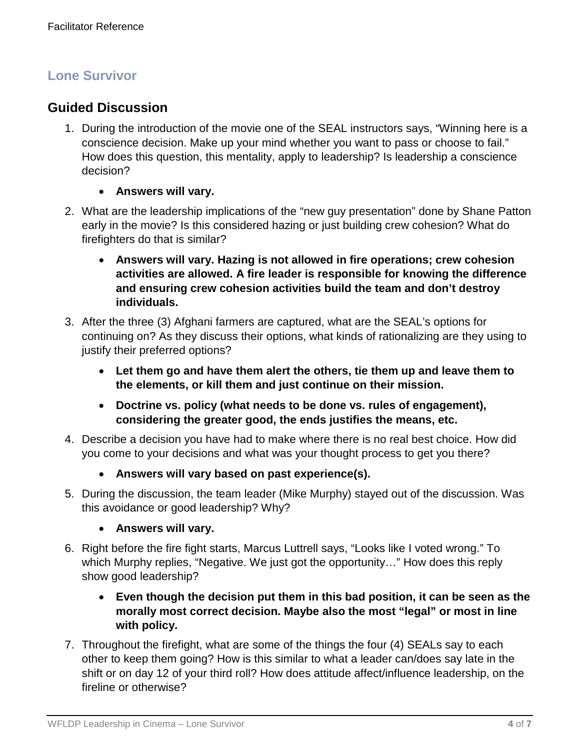# **Lone Survivor**

# **Guided Discussion**

- 1. During the introduction of the movie one of the SEAL instructors says, "Winning here is a conscience decision. Make up your mind whether you want to pass or choose to fail." How does this question, this mentality, apply to leadership? Is leadership a conscience decision?
	- **Answers will vary.**
- 2. What are the leadership implications of the "new guy presentation" done by Shane Patton early in the movie? Is this considered hazing or just building crew cohesion? What do firefighters do that is similar?
	- **Answers will vary. Hazing is not allowed in fire operations; crew cohesion activities are allowed. A fire leader is responsible for knowing the difference and ensuring crew cohesion activities build the team and don't destroy individuals.**
- 3. After the three (3) Afghani farmers are captured, what are the SEAL's options for continuing on? As they discuss their options, what kinds of rationalizing are they using to justify their preferred options?
	- **Let them go and have them alert the others, tie them up and leave them to the elements, or kill them and just continue on their mission.**
	- **Doctrine vs. policy (what needs to be done vs. rules of engagement), considering the greater good, the ends justifies the means, etc.**
- 4. Describe a decision you have had to make where there is no real best choice. How did you come to your decisions and what was your thought process to get you there?
	- **Answers will vary based on past experience(s).**
- 5. During the discussion, the team leader (Mike Murphy) stayed out of the discussion. Was this avoidance or good leadership? Why?
	- **Answers will vary.**
- 6. Right before the fire fight starts, Marcus Luttrell says, "Looks like I voted wrong." To which Murphy replies, "Negative. We just got the opportunity…" How does this reply show good leadership?
	- **Even though the decision put them in this bad position, it can be seen as the morally most correct decision. Maybe also the most "legal" or most in line with policy.**
- 7. Throughout the firefight, what are some of the things the four (4) SEALs say to each other to keep them going? How is this similar to what a leader can/does say late in the shift or on day 12 of your third roll? How does attitude affect/influence leadership, on the fireline or otherwise?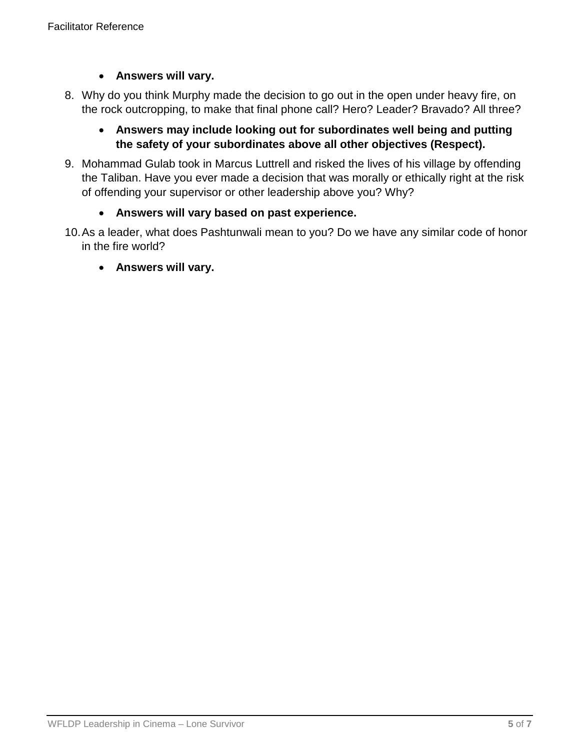### • **Answers will vary.**

8. Why do you think Murphy made the decision to go out in the open under heavy fire, on the rock outcropping, to make that final phone call? Hero? Leader? Bravado? All three?

### • **Answers may include looking out for subordinates well being and putting the safety of your subordinates above all other objectives (Respect).**

9. Mohammad Gulab took in Marcus Luttrell and risked the lives of his village by offending the Taliban. Have you ever made a decision that was morally or ethically right at the risk of offending your supervisor or other leadership above you? Why?

### • **Answers will vary based on past experience.**

10.As a leader, what does Pashtunwali mean to you? Do we have any similar code of honor in the fire world?

### • **Answers will vary.**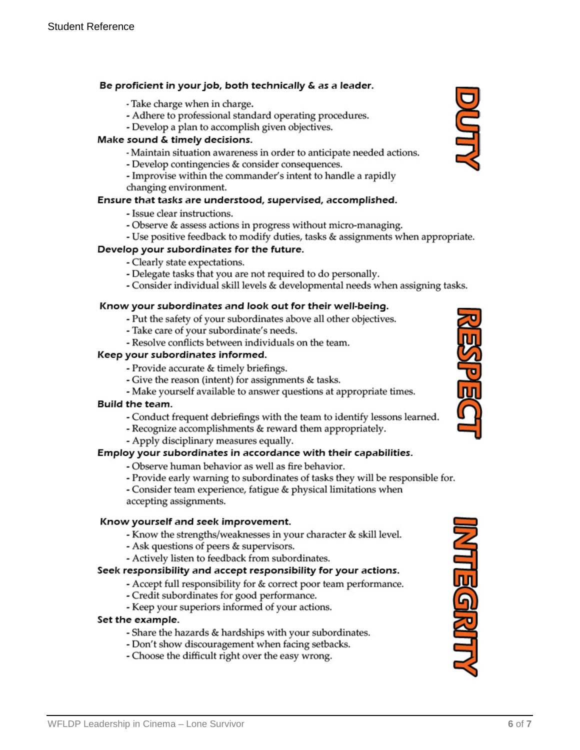### Be proficient in your job, both technically & as a leader.

- Take charge when in charge.
- Adhere to professional standard operating procedures.
- Develop a plan to accomplish given objectives.

### Make sound & timely decisions.

- Maintain situation awareness in order to anticipate needed actions.
- Develop contingencies & consider consequences.
- Improvise within the commander's intent to handle a rapidly changing environment.

### Ensure that tasks are understood, supervised, accomplished.

- Issue clear instructions.
- Observe & assess actions in progress without micro-managing.
- Use positive feedback to modify duties, tasks & assignments when appropriate.

### Develop your subordinates for the future.

- Clearly state expectations.
- Delegate tasks that you are not required to do personally.
- Consider individual skill levels & developmental needs when assigning tasks.

#### Know your subordinates and look out for their well-being.

- Put the safety of your subordinates above all other objectives.
- Take care of your subordinate's needs.
- Resolve conflicts between individuals on the team.

### Keep your subordinates informed.

- Provide accurate & timely briefings.
- Give the reason (intent) for assignments & tasks.
- Make yourself available to answer questions at appropriate times.

#### **Build the team.**

- Conduct frequent debriefings with the team to identify lessons learned.
- Recognize accomplishments & reward them appropriately.
- Apply disciplinary measures equally.

### Employ your subordinates in accordance with their capabilities.

- Observe human behavior as well as fire behavior.
- Provide early warning to subordinates of tasks they will be responsible for.
- Consider team experience, fatigue & physical limitations when accepting assignments.

#### Know yourself and seek improvement.

- Know the strengths/weaknesses in your character & skill level.
- Ask questions of peers & supervisors.
- Actively listen to feedback from subordinates.

### Seek responsibility and accept responsibility for your actions.

- Accept full responsibility for & correct poor team performance.
- Credit subordinates for good performance.
- Keep your superiors informed of your actions.

#### Set the example.

- Share the hazards & hardships with your subordinates.
- Don't show discouragement when facing setbacks.
- Choose the difficult right over the easy wrong.